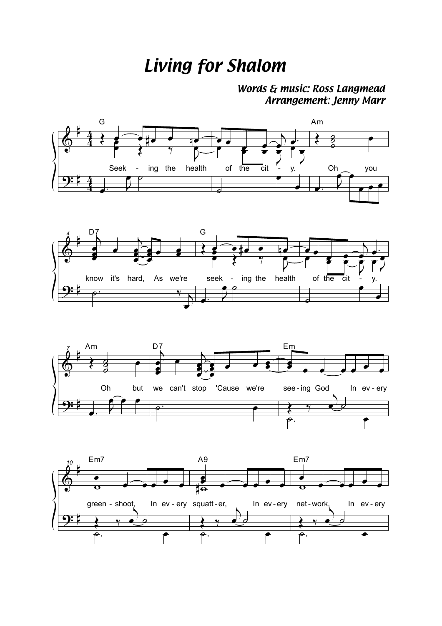## *Living for Shalom*

*Words & music: Ross Langmead Arrangement: Jenny Marr*